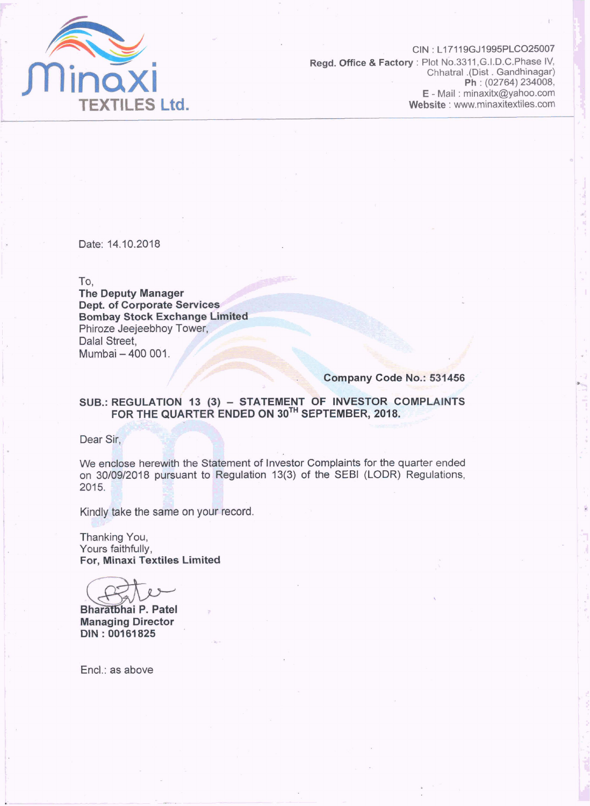

CIN: L17119GJ1995PLCO25007 Regd. Office & Factory: Plot No.3311, G.I.D.C.Phase IV. Chhatral .(Dist. Gandhinagar) Ph: (02764) 234008, E - Mail: minaxitx@yahoo.com Website: www.minaxitextiles.com

Date: 14.10.2018

To.

**The Deputy Manager Dept. of Corporate Services Bombay Stock Exchange Limited** Phiroze Jeejeebhoy Tower, Dalal Street. Mumbai - 400 001.

Company Code No.: 531456

## SUB.: REGULATION 13 (3) - STATEMENT OF INVESTOR COMPLAINTS<br>FOR THE QUARTER ENDED ON 30<sup>TH</sup> SEPTEMBER, 2018.

Dear Sir,

We enclose herewith the Statement of Investor Complaints for the quarter ended on 30/09/2018 pursuant to Regulation 13(3) of the SEBI (LODR) Regulations, 2015.

Kindly take the same on your record.

Thanking You, Yours faithfully, For, Minaxi Textiles Limited

Bharatbhai P. Patel **Managing Director** DIN: 00161825

Encl.: as above